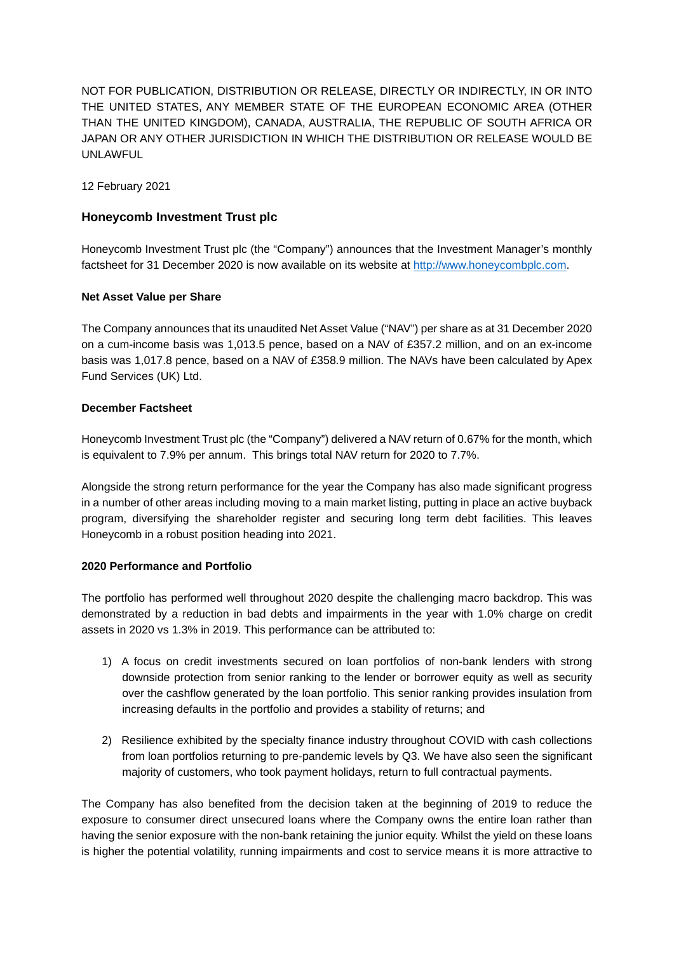NOT FOR PUBLICATION, DISTRIBUTION OR RELEASE, DIRECTLY OR INDIRECTLY, IN OR INTO THE UNITED STATES, ANY MEMBER STATE OF THE EUROPEAN ECONOMIC AREA (OTHER THAN THE UNITED KINGDOM), CANADA, AUSTRALIA, THE REPUBLIC OF SOUTH AFRICA OR JAPAN OR ANY OTHER JURISDICTION IN WHICH THE DISTRIBUTION OR RELEASE WOULD BE UNLAWFUL

12 February 2021

# **Honeycomb Investment Trust plc**

Honeycomb Investment Trust plc (the "Company") announces that the Investment Manager's monthly factsheet for 31 December 2020 is now available on its website at [http://www.honeycombplc.com.](http://www.honeycombplc.com/documents/)

# **Net Asset Value per Share**

The Company announces that its unaudited Net Asset Value ("NAV") per share as at 31 December 2020 on a cum-income basis was 1,013.5 pence, based on a NAV of £357.2 million, and on an ex-income basis was 1,017.8 pence, based on a NAV of £358.9 million. The NAVs have been calculated by Apex Fund Services (UK) Ltd.

# **December Factsheet**

Honeycomb Investment Trust plc (the "Company") delivered a NAV return of 0.67% for the month, which is equivalent to 7.9% per annum. This brings total NAV return for 2020 to 7.7%.

Alongside the strong return performance for the year the Company has also made significant progress in a number of other areas including moving to a main market listing, putting in place an active buyback program, diversifying the shareholder register and securing long term debt facilities. This leaves Honeycomb in a robust position heading into 2021.

# **2020 Performance and Portfolio**

The portfolio has performed well throughout 2020 despite the challenging macro backdrop. This was demonstrated by a reduction in bad debts and impairments in the year with 1.0% charge on credit assets in 2020 vs 1.3% in 2019. This performance can be attributed to:

- 1) A focus on credit investments secured on loan portfolios of non-bank lenders with strong downside protection from senior ranking to the lender or borrower equity as well as security over the cashflow generated by the loan portfolio. This senior ranking provides insulation from increasing defaults in the portfolio and provides a stability of returns; and
- 2) Resilience exhibited by the specialty finance industry throughout COVID with cash collections from loan portfolios returning to pre-pandemic levels by Q3. We have also seen the significant majority of customers, who took payment holidays, return to full contractual payments.

The Company has also benefited from the decision taken at the beginning of 2019 to reduce the exposure to consumer direct unsecured loans where the Company owns the entire loan rather than having the senior exposure with the non-bank retaining the junior equity. Whilst the yield on these loans is higher the potential volatility, running impairments and cost to service means it is more attractive to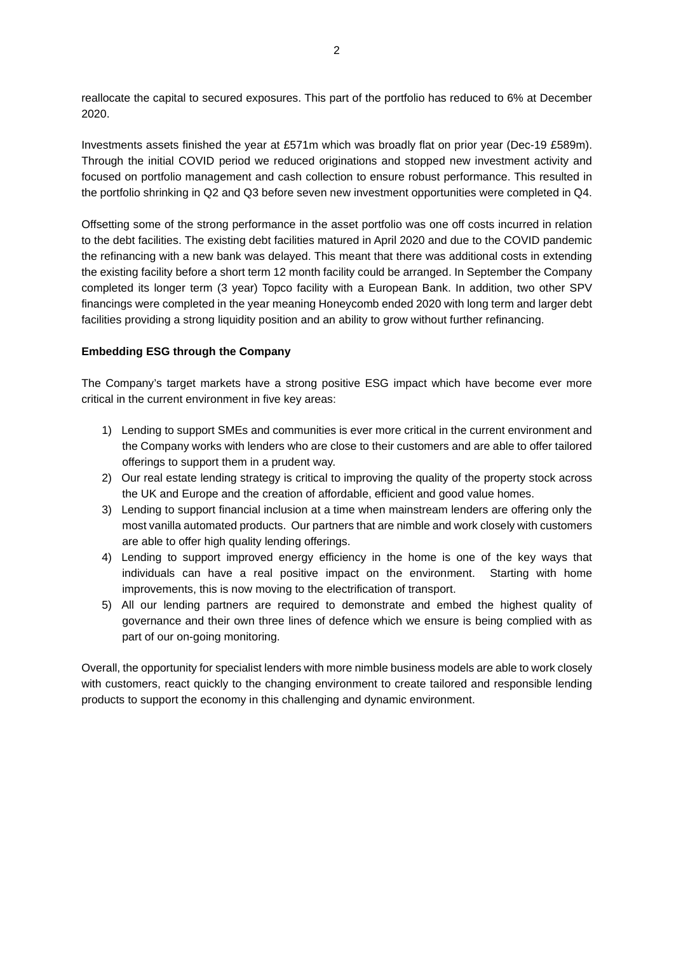reallocate the capital to secured exposures. This part of the portfolio has reduced to 6% at December 2020.

Investments assets finished the year at £571m which was broadly flat on prior year (Dec-19 £589m). Through the initial COVID period we reduced originations and stopped new investment activity and focused on portfolio management and cash collection to ensure robust performance. This resulted in the portfolio shrinking in Q2 and Q3 before seven new investment opportunities were completed in Q4.

Offsetting some of the strong performance in the asset portfolio was one off costs incurred in relation to the debt facilities. The existing debt facilities matured in April 2020 and due to the COVID pandemic the refinancing with a new bank was delayed. This meant that there was additional costs in extending the existing facility before a short term 12 month facility could be arranged. In September the Company completed its longer term (3 year) Topco facility with a European Bank. In addition, two other SPV financings were completed in the year meaning Honeycomb ended 2020 with long term and larger debt facilities providing a strong liquidity position and an ability to grow without further refinancing.

#### **Embedding ESG through the Company**

The Company's target markets have a strong positive ESG impact which have become ever more critical in the current environment in five key areas:

- 1) Lending to support SMEs and communities is ever more critical in the current environment and the Company works with lenders who are close to their customers and are able to offer tailored offerings to support them in a prudent way.
- 2) Our real estate lending strategy is critical to improving the quality of the property stock across the UK and Europe and the creation of affordable, efficient and good value homes.
- 3) Lending to support financial inclusion at a time when mainstream lenders are offering only the most vanilla automated products. Our partners that are nimble and work closely with customers are able to offer high quality lending offerings.
- 4) Lending to support improved energy efficiency in the home is one of the key ways that individuals can have a real positive impact on the environment. Starting with home improvements, this is now moving to the electrification of transport.
- 5) All our lending partners are required to demonstrate and embed the highest quality of governance and their own three lines of defence which we ensure is being complied with as part of our on-going monitoring.

Overall, the opportunity for specialist lenders with more nimble business models are able to work closely with customers, react quickly to the changing environment to create tailored and responsible lending products to support the economy in this challenging and dynamic environment.